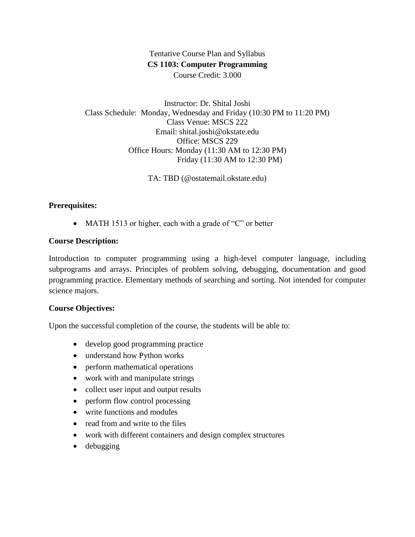# Tentative Course Plan and Syllabus **CS 1103: Computer Programming** Course Credit: 3.000

Instructor: Dr. Shital Joshi Class Schedule: Monday, Wednesday and Friday (10:30 PM to 11:20 PM) Class Venue: MSCS 222 Email: shital.joshi@okstate.edu Office: MSCS 229 Office Hours: Monday (11:30 AM to 12:30 PM) Friday (11:30 AM to 12:30 PM)

TA: TBD (@ostatemail.okstate.edu)

## **Prerequisites:**

• MATH 1513 or higher, each with a grade of "C" or better

#### **Course Description:**

Introduction to computer programming using a high-level computer language, including subprograms and arrays. Principles of problem solving, debugging, documentation and good programming practice. Elementary methods of searching and sorting. Not intended for computer science majors.

#### **Course Objectives:**

Upon the successful completion of the course, the students will be able to:

- develop good programming practice
- understand how Python works
- perform mathematical operations
- work with and manipulate strings
- collect user input and output results
- perform flow control processing
- write functions and modules
- read from and write to the files
- work with different containers and design complex structures
- debugging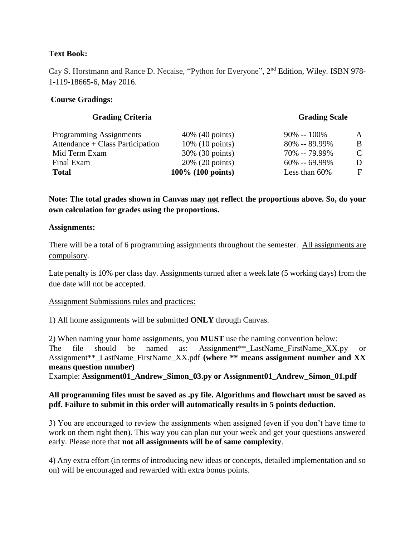# **Text Book:**

Cay S. Horstmann and Rance D. Necaise, "Python for Everyone", 2<sup>nd</sup> Edition, Wiley. ISBN 978-1-119-18665-6, May 2016.

## **Course Gradings:**

| A             |
|---------------|
| B.            |
| $\mathcal{C}$ |
| D.            |
| $\mathbf{F}$  |
|               |

**Note: The total grades shown in Canvas may not reflect the proportions above. So, do your own calculation for grades using the proportions.**

#### **Assignments:**

There will be a total of 6 programming assignments throughout the semester. All assignments are compulsory.

Late penalty is 10% per class day. Assignments turned after a week late (5 working days) from the due date will not be accepted.

#### Assignment Submissions rules and practices:

1) All home assignments will be submitted **ONLY** through Canvas.

2) When naming your home assignments, you **MUST** use the naming convention below: The file should be named as: Assignment\*\* LastName FirstName XX.py or Assignment\*\*\_LastName\_FirstName\_XX.pdf **(where \*\* means assignment number and XX means question number)** 

Example: **Assignment01\_Andrew\_Simon\_03.py or Assignment01\_Andrew\_Simon\_01.pdf**

## **All programming files must be saved as .py file. Algorithms and flowchart must be saved as pdf. Failure to submit in this order will automatically results in 5 points deduction.**

3) You are encouraged to review the assignments when assigned (even if you don't have time to work on them right then). This way you can plan out your week and get your questions answered early. Please note that **not all assignments will be of same complexity**.

4) Any extra effort (in terms of introducing new ideas or concepts, detailed implementation and so on) will be encouraged and rewarded with extra bonus points.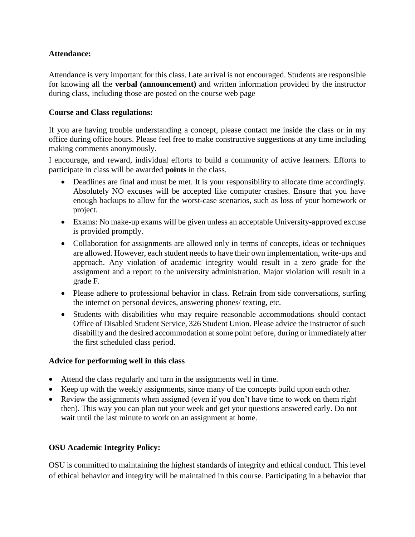# **Attendance:**

Attendance is very important for this class. Late arrival is not encouraged. Students are responsible for knowing all the **verbal (announcement)** and written information provided by the instructor during class, including those are posted on the course web page

## **Course and Class regulations:**

If you are having trouble understanding a concept, please contact me inside the class or in my office during office hours. Please feel free to make constructive suggestions at any time including making comments anonymously.

I encourage, and reward, individual efforts to build a community of active learners. Efforts to participate in class will be awarded **points** in the class.

- Deadlines are final and must be met. It is your responsibility to allocate time accordingly. Absolutely NO excuses will be accepted like computer crashes. Ensure that you have enough backups to allow for the worst-case scenarios, such as loss of your homework or project.
- Exams: No make-up exams will be given unless an acceptable University-approved excuse is provided promptly.
- Collaboration for assignments are allowed only in terms of concepts, ideas or techniques are allowed. However, each student needs to have their own implementation, write-ups and approach. Any violation of academic integrity would result in a zero grade for the assignment and a report to the university administration. Major violation will result in a grade F.
- Please adhere to professional behavior in class. Refrain from side conversations, surfing the internet on personal devices, answering phones/ texting, etc.
- Students with disabilities who may require reasonable accommodations should contact Office of Disabled Student Service, 326 Student Union. Please advice the instructor of such disability and the desired accommodation at some point before, during or immediately after the first scheduled class period.

#### **Advice for performing well in this class**

- Attend the class regularly and turn in the assignments well in time.
- Keep up with the weekly assignments, since many of the concepts build upon each other.
- Review the assignments when assigned (even if you don't have time to work on them right then). This way you can plan out your week and get your questions answered early. Do not wait until the last minute to work on an assignment at home.

# **OSU Academic Integrity Policy:**

OSU is committed to maintaining the highest standards of integrity and ethical conduct. This level of ethical behavior and integrity will be maintained in this course. Participating in a behavior that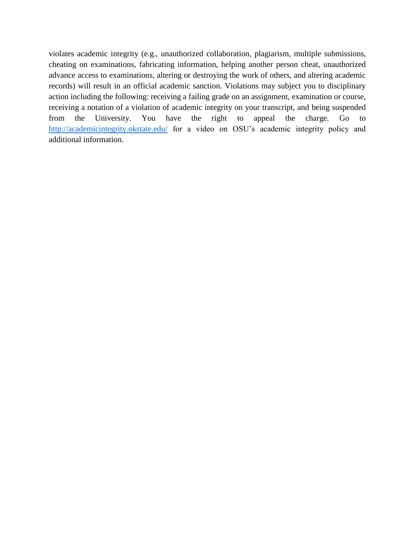violates academic integrity (e.g., unauthorized collaboration, plagiarism, multiple submissions, cheating on examinations, fabricating information, helping another person cheat, unauthorized advance access to examinations, altering or destroying the work of others, and altering academic records) will result in an official academic sanction. Violations may subject you to disciplinary action including the following: receiving a failing grade on an assignment, examination or course, receiving a notation of a violation of academic integrity on your transcript, and being suspended from the University. You have the right to appeal the charge. Go to <http://academicintegrity.okstate.edu/> for a video on OSU's academic integrity policy and additional information.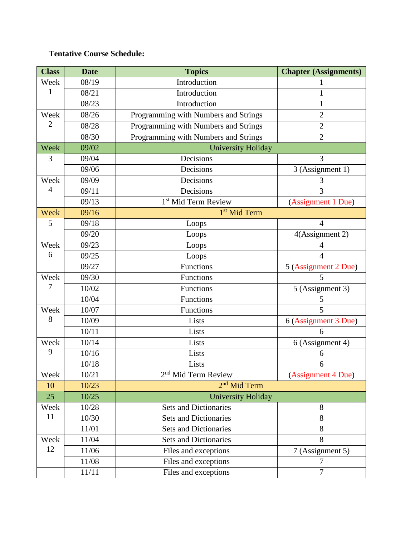# **Tentative Course Schedule:**

| <b>Class</b>   | <b>Date</b> | <b>Topics</b>                        | <b>Chapter (Assignments)</b> |
|----------------|-------------|--------------------------------------|------------------------------|
| Week           | 08/19       | Introduction                         |                              |
| 1              | 08/21       | Introduction                         | 1                            |
|                | 08/23       | Introduction                         | 1                            |
| Week           | 08/26       | Programming with Numbers and Strings | $\overline{2}$               |
| $\overline{2}$ | 08/28       | Programming with Numbers and Strings | $\overline{2}$               |
|                | 08/30       | Programming with Numbers and Strings | $\overline{2}$               |
| Week           | 09/02       | <b>University Holiday</b>            |                              |
| 3              | 09/04       | Decisions                            | 3                            |
|                | 09/06       | Decisions                            | 3 (Assignment 1)             |
| Week           | 09/09       | Decisions                            | 3                            |
| 4              | 09/11       | Decisions                            | 3                            |
|                | 09/13       | 1 <sup>st</sup> Mid Term Review      | (Assignment 1 Due)           |
| Week           | 09/16       | 1 <sup>st</sup> Mid Term             |                              |
| 5              | 09/18       | Loops                                | $\overline{4}$               |
|                | 09/20       | Loops                                | 4(Assignment 2)              |
| Week           | 09/23       | Loops                                | 4                            |
| 6              | 09/25       | Loops                                | $\overline{4}$               |
|                | 09/27       | Functions                            | 5 (Assignment 2 Due)         |
| Week<br>7      | 09/30       | Functions                            | 5                            |
|                | 10/02       | Functions                            | 5 (Assignment 3)             |
|                | 10/04       | Functions                            | 5                            |
| Week           | 10/07       | Functions                            | 5                            |
| 8              | 10/09       | Lists                                | 6 (Assignment 3 Due)         |
|                | 10/11       | Lists                                | 6                            |
| Week<br>9      | 10/14       | Lists                                | 6 (Assignment 4)             |
|                | 10/16       | Lists                                | 6                            |
|                | 10/18       | Lists                                | 6                            |
| Week           | 10/21       | 2 <sup>nd</sup> Mid Term Review      | (Assignment 4 Due)           |
| 10             | 10/23       | 2 <sup>nd</sup> Mid Term             |                              |
| 25             | 10/25       | <b>University Holiday</b>            |                              |
| Week           | 10/28       | <b>Sets and Dictionaries</b>         | 8                            |
| 11             | 10/30       | <b>Sets and Dictionaries</b>         | 8                            |
|                | 11/01       | <b>Sets and Dictionaries</b>         | 8                            |
| Week           | 11/04       | <b>Sets and Dictionaries</b>         | 8                            |
| 12             | 11/06       | Files and exceptions                 | 7 (Assignment 5)             |
|                | 11/08       | Files and exceptions                 | 7                            |
|                | 11/11       | Files and exceptions                 | $\overline{7}$               |